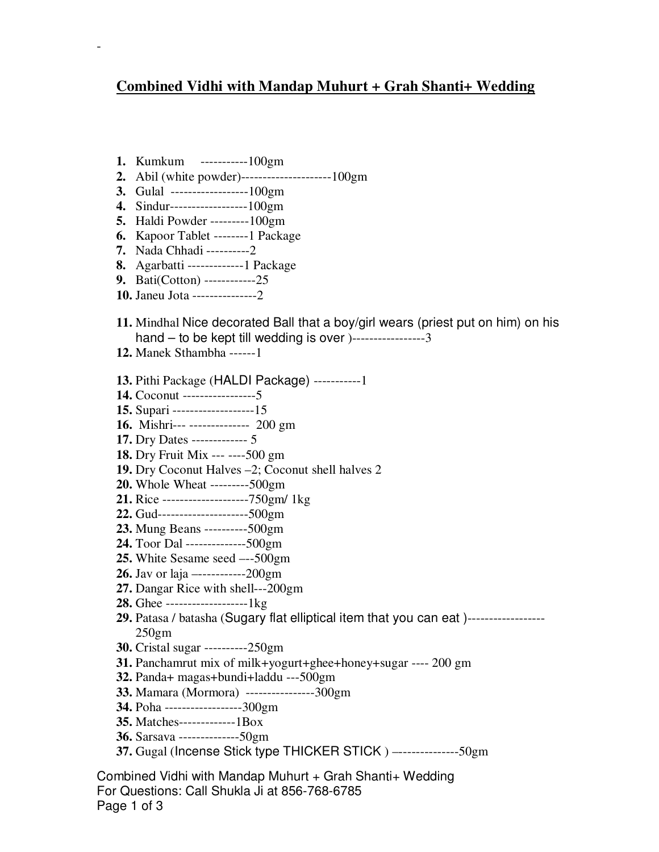## **Combined Vidhi with Mandap Muhurt + Grah Shanti+ Wedding**

**1.** Kumkum -----------100gm

-

- **2.** Abil (white powder)---------------------100gm
- **3.** Gulal ------------------100gm
- **4.** Sindur------------------100gm
- **5.** Haldi Powder ---------100gm
- **6.** Kapoor Tablet --------1 Package
- **7.** Nada Chhadi ----------2
- **8.** Agarbatti -------------1 Package
- **9.** Bati(Cotton) ------------25
- **10.** Janeu Jota ---------------2
- **11.** Mindhal Nice decorated Ball that a boy/girl wears (priest put on him) on his  $hand - to be kept till wedding is over  $]-$ --- $-$ ---3$
- **12.** Manek Sthambha ------1
- **13.** Pithi Package (HALDI Package) -----------1
- **14.** Coconut -----------------5
- **15.** Supari -------------------15
- **16.** Mishri--- -------------- 200 gm
- **17.** Dry Dates ------------- 5
- **18.** Dry Fruit Mix --- ----500 gm
- **19.** Dry Coconut Halves –2; Coconut shell halves 2
- **20.** Whole Wheat ---------500gm
- **21.** Rice --------------------750gm/ 1kg
- **22.** Gud---------------------500gm
- **23.** Mung Beans ----------500gm
- **24.** Toor Dal --------------500gm
- **25.** White Sesame seed –--500gm
- **26.** Jav or laja –-----------200gm
- **27.** Dangar Rice with shell---200gm
- **28.** Ghee -------------------1kg
- **29.** Patasa / batasha (Sugary flat elliptical item that you can eat )------------------ 250gm
- **30.** Cristal sugar ----------250gm
- **31.** Panchamrut mix of milk+yogurt+ghee+honey+sugar ---- 200 gm
- **32.** Panda+ magas+bundi+laddu ---500gm
- **33.** Mamara (Mormora) ----------------300gm
- **34.** Poha ------------------300gm
- **35.** Matches-------------1Box
- **36.** Sarsava --------------50gm
- **37.** Gugal (Incense Stick type THICKER STICK ) –--------------50gm

Combined Vidhi with Mandap Muhurt + Grah Shanti+ Wedding For Questions: Call Shukla Ji at 856-768-6785 Page 1 of 3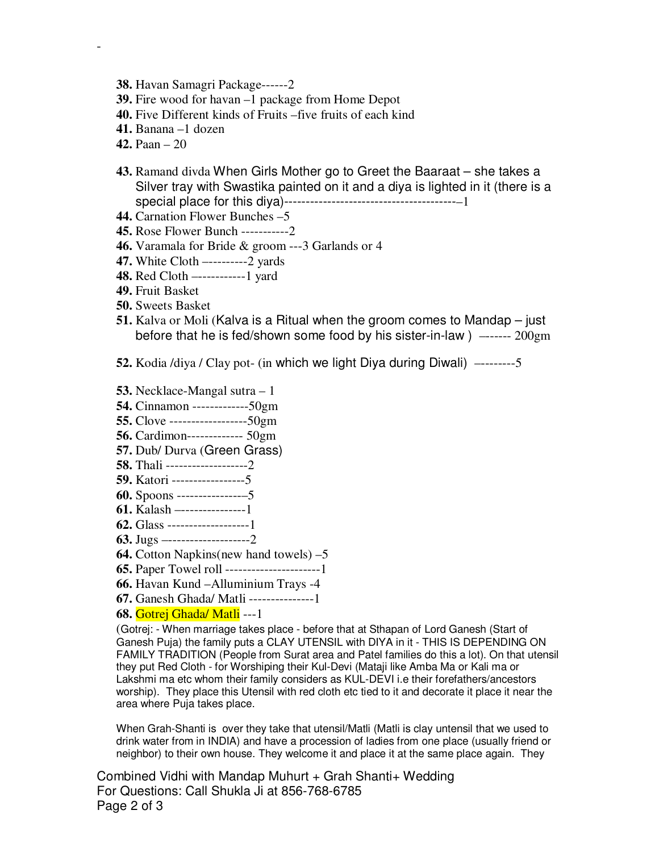- **38.** Havan Samagri Package------2
- **39.** Fire wood for havan –1 package from Home Depot
- **40.** Five Different kinds of Fruits –five fruits of each kind
- **41.** Banana –1 dozen
- **42.** Paan 20

-

- **43.** Ramand divda When Girls Mother go to Greet the Baaraat she takes a Silver tray with Swastika painted on it and a diya is lighted in it (there is a special place for this diya)----------------------------------------–1
- **44.** Carnation Flower Bunches –5
- **45.** Rose Flower Bunch -----------2
- **46.** Varamala for Bride & groom ---3 Garlands or 4
- **47.** White Cloth –---------2 yards
- **48.** Red Cloth –-----------1 yard
- **49.** Fruit Basket
- **50.** Sweets Basket
- **51.** Kalva or Moli (Kalva is a Ritual when the groom comes to Mandap just before that he is fed/shown some food by his sister-in-law ) –------ 200gm
- **52.** Kodia /diya / Clay pot- (in which we light Diya during Diwali) –--------5
- **53.** Necklace-Mangal sutra 1
- **54.** Cinnamon -------------50gm
- **55.** Clove ------------------50gm
- **56.** Cardimon------------- 50gm
- **57.** Dub/ Durva (Green Grass)
- **58.** Thali -------------------2
- **59.** Katori -----------------5
- **60.** Spoons ---------------–5
- **61.** Kalash –---------------1
- **62.** Glass -------------------1
- **63.** Jugs –-------------------2
- **64.** Cotton Napkins(new hand towels) –5
- **65.** Paper Towel roll ----------------------1
- **66.** Havan Kund –Alluminium Trays -4
- **67.** Ganesh Ghada/ Matli ---------------1
- **68.** Gotrej Ghada/ Matli ---1

(Gotrej: - When marriage takes place - before that at Sthapan of Lord Ganesh (Start of Ganesh Puja) the family puts a CLAY UTENSIL with DIYA in it - THIS IS DEPENDING ON FAMILY TRADITION (People from Surat area and Patel families do this a lot). On that utensil they put Red Cloth - for Worshiping their Kul-Devi (Mataji like Amba Ma or Kali ma or Lakshmi ma etc whom their family considers as KUL-DEVI i.e their forefathers/ancestors worship). They place this Utensil with red cloth etc tied to it and decorate it place it near the area where Puja takes place.

When Grah-Shanti is over they take that utensil/Matli (Matli is clay untensil that we used to drink water from in INDIA) and have a procession of ladies from one place (usually friend or neighbor) to their own house. They welcome it and place it at the same place again. They

Combined Vidhi with Mandap Muhurt  $+$  Grah Shanti $+$  Wedding For Questions: Call Shukla Ji at 856-768-6785 Page 2 of 3